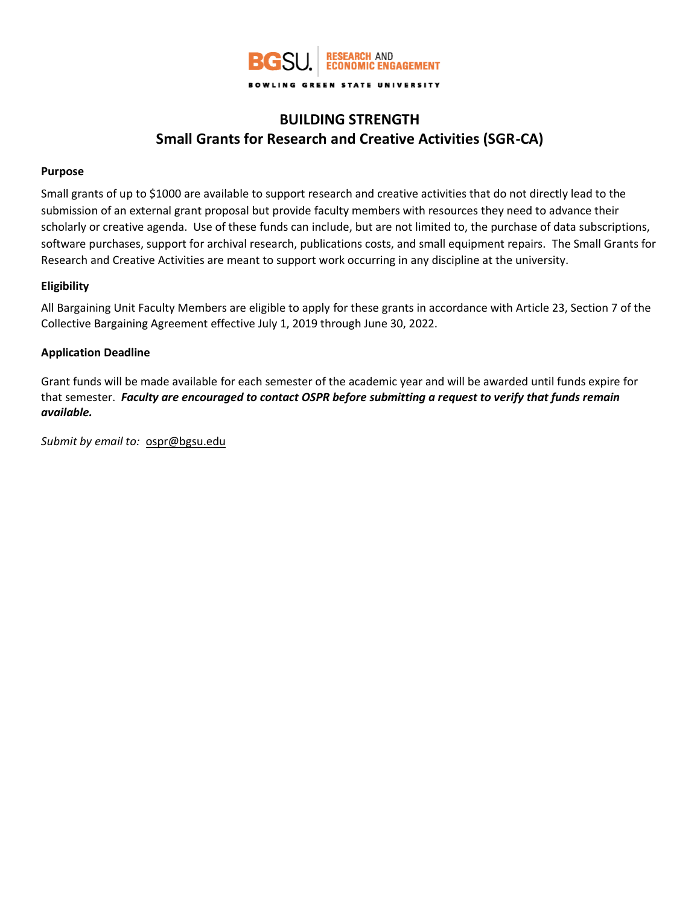

# **BUILDING STRENGTH Small Grants for Research and Creative Activities (SGR-CA)**

### **Purpose**

Small grants of up to \$1000 are available to support research and creative activities that do not directly lead to the submission of an external grant proposal but provide faculty members with resources they need to advance their scholarly or creative agenda. Use of these funds can include, but are not limited to, the purchase of data subscriptions, software purchases, support for archival research, publications costs, and small equipment repairs. The Small Grants for Research and Creative Activities are meant to support work occurring in any discipline at the university.

#### **Eligibility**

All Bargaining Unit Faculty Members are eligible to apply for these grants in accordance with Article 23, Section 7 of the Collective Bargaining Agreement effective July 1, 2019 through June 30, 2022.

#### **Application Deadline**

Grant funds will be made available for each semester of the academic year and will be awarded until funds expire for that semester. *Faculty are encouraged to contact OSPR before submitting a request to verify that funds remain available.*

*Submit by email to:* [ospr@bgsu.edu](mailto:ospr@bgsu.edu)